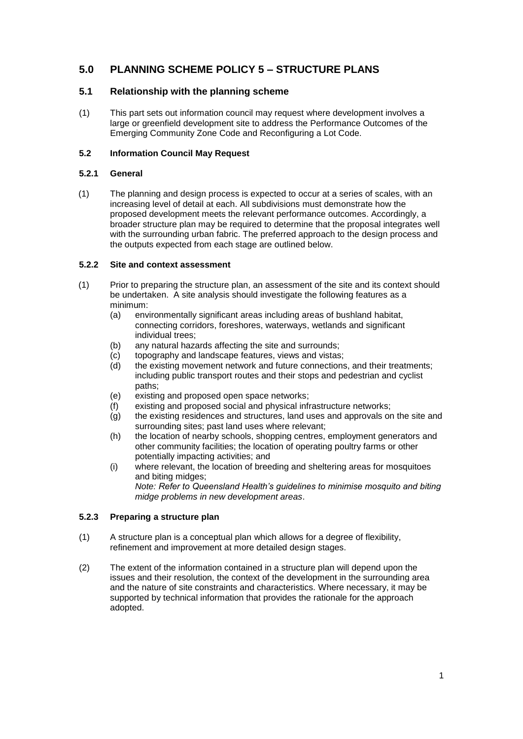# **5.0 PLANNING SCHEME POLICY 5 – STRUCTURE PLANS**

## **5.1 Relationship with the planning scheme**

(1) This part sets out information council may request where development involves a large or greenfield development site to address the Performance Outcomes of the Emerging Community Zone Code and Reconfiguring a Lot Code.

### **5.2 Information Council May Request**

#### **5.2.1 General**

(1) The planning and design process is expected to occur at a series of scales, with an increasing level of detail at each. All subdivisions must demonstrate how the proposed development meets the relevant performance outcomes. Accordingly, a broader structure plan may be required to determine that the proposal integrates well with the surrounding urban fabric. The preferred approach to the design process and the outputs expected from each stage are outlined below.

#### **5.2.2 Site and context assessment**

- (1) Prior to preparing the structure plan, an assessment of the site and its context should be undertaken. A site analysis should investigate the following features as a minimum:
	- (a) environmentally significant areas including areas of bushland habitat, connecting corridors, foreshores, waterways, wetlands and significant individual trees;
	- (b) any natural hazards affecting the site and surrounds;
	- (c) topography and landscape features, views and vistas;
	- (d) the existing movement network and future connections, and their treatments; including public transport routes and their stops and pedestrian and cyclist paths;
	- (e) existing and proposed open space networks;
	- (f) existing and proposed social and physical infrastructure networks;
	- (g) the existing residences and structures, land uses and approvals on the site and surrounding sites; past land uses where relevant;
	- (h) the location of nearby schools, shopping centres, employment generators and other community facilities; the location of operating poultry farms or other potentially impacting activities; and
	- (i) where relevant, the location of breeding and sheltering areas for mosquitoes and biting midges; *Note: Refer to Queensland Health's guidelines to minimise mosquito and biting midge problems in new development areas*.

#### **5.2.3 Preparing a structure plan**

- (1) A structure plan is a conceptual plan which allows for a degree of flexibility, refinement and improvement at more detailed design stages.
- (2) The extent of the information contained in a structure plan will depend upon the issues and their resolution, the context of the development in the surrounding area and the nature of site constraints and characteristics. Where necessary, it may be supported by technical information that provides the rationale for the approach adopted.